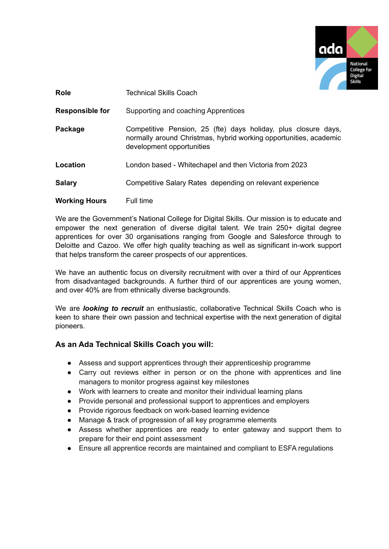

| <b>Role</b>            | <b>Technical Skills Coach</b>                                                                                                                                    |
|------------------------|------------------------------------------------------------------------------------------------------------------------------------------------------------------|
| <b>Responsible for</b> | Supporting and coaching Apprentices                                                                                                                              |
| Package                | Competitive Pension, 25 (fte) days holiday, plus closure days,<br>normally around Christmas, hybrid working opportunities, academic<br>development opportunities |
| Location               | London based - Whitechapel and then Victoria from 2023                                                                                                           |
| <b>Salary</b>          | Competitive Salary Rates depending on relevant experience                                                                                                        |
| <b>Working Hours</b>   | Full time                                                                                                                                                        |

We are the Government's National College for Digital Skills. Our mission is to educate and empower the next generation of diverse digital talent. We train 250+ digital degree apprentices for over 30 organisations ranging from Google and Salesforce through to Deloitte and Cazoo. We offer high quality teaching as well as significant in-work support that helps transform the career prospects of our apprentices.

We have an authentic focus on diversity recruitment with over a third of our Apprentices from disadvantaged backgrounds. A further third of our apprentices are young women, and over 40% are from ethnically diverse backgrounds.

We are *looking to recruit* an enthusiastic, collaborative Technical Skills Coach who is keen to share their own passion and technical expertise with the next generation of digital pioneers.

## **As an Ada Technical Skills Coach you will:**

- Assess and support apprentices through their apprenticeship programme
- Carry out reviews either in person or on the phone with apprentices and line managers to monitor progress against key milestones
- Work with learners to create and monitor their individual learning plans
- Provide personal and professional support to apprentices and employers
- Provide rigorous feedback on work-based learning evidence
- Manage & track of progression of all key programme elements
- Assess whether apprentices are ready to enter gateway and support them to prepare for their end point assessment
- Ensure all apprentice records are maintained and compliant to ESFA regulations